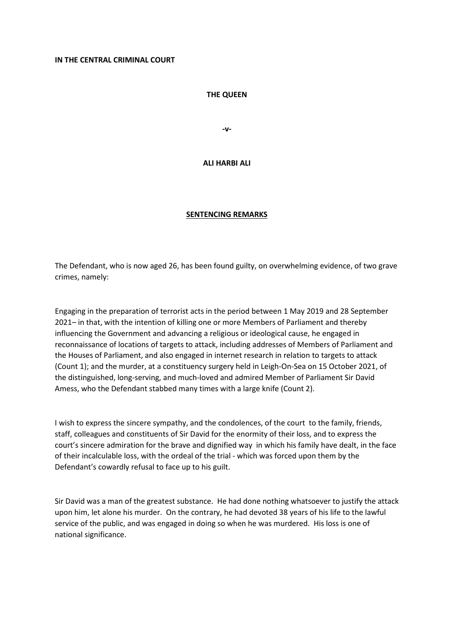## **THE QUEEN**

**-v-**

## **ALI HARBI ALI**

## **SENTENCING REMARKS**

The Defendant, who is now aged 26, has been found guilty, on overwhelming evidence, of two grave crimes, namely:

Engaging in the preparation of terrorist acts in the period between 1 May 2019 and 28 September 2021– in that, with the intention of killing one or more Members of Parliament and thereby influencing the Government and advancing a religious or ideological cause, he engaged in reconnaissance of locations of targets to attack, including addresses of Members of Parliament and the Houses of Parliament, and also engaged in internet research in relation to targets to attack (Count 1); and the murder, at a constituency surgery held in Leigh-On-Sea on 15 October 2021, of the distinguished, long-serving, and much-loved and admired Member of Parliament Sir David Amess, who the Defendant stabbed many times with a large knife (Count 2).

I wish to express the sincere sympathy, and the condolences, of the court to the family, friends, staff, colleagues and constituents of Sir David for the enormity of their loss, and to express the court's sincere admiration for the brave and dignified way in which his family have dealt, in the face of their incalculable loss, with the ordeal of the trial - which was forced upon them by the Defendant's cowardly refusal to face up to his guilt.

Sir David was a man of the greatest substance. He had done nothing whatsoever to justify the attack upon him, let alone his murder. On the contrary, he had devoted 38 years of his life to the lawful service of the public, and was engaged in doing so when he was murdered. His loss is one of national significance.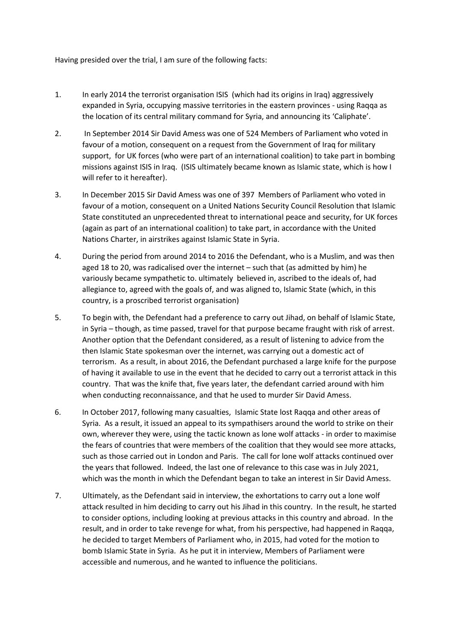Having presided over the trial, I am sure of the following facts:

- 1. In early 2014 the terrorist organisation ISIS (which had its origins in Iraq) aggressively expanded in Syria, occupying massive territories in the eastern provinces - using Raqqa as the location of its central military command for Syria, and announcing its 'Caliphate'.
- 2. In September 2014 Sir David Amess was one of 524 Members of Parliament who voted in favour of a motion, consequent on a request from the Government of Iraq for military support, for UK forces (who were part of an international coalition) to take part in bombing missions against ISIS in Iraq. (ISIS ultimately became known as Islamic state, which is how I will refer to it hereafter).
- 3. In December 2015 Sir David Amess was one of 397 Members of Parliament who voted in favour of a motion, consequent on a United Nations Security Council Resolution that Islamic State constituted an unprecedented threat to international peace and security, for UK forces (again as part of an international coalition) to take part, in accordance with the United Nations Charter, in airstrikes against Islamic State in Syria.
- 4. During the period from around 2014 to 2016 the Defendant, who is a Muslim, and was then aged 18 to 20, was radicalised over the internet – such that (as admitted by him) he variously became sympathetic to. ultimately believed in, ascribed to the ideals of, had allegiance to, agreed with the goals of, and was aligned to, Islamic State (which, in this country, is a proscribed terrorist organisation)
- 5. To begin with, the Defendant had a preference to carry out Jihad, on behalf of Islamic State, in Syria – though, as time passed, travel for that purpose became fraught with risk of arrest. Another option that the Defendant considered, as a result of listening to advice from the then Islamic State spokesman over the internet, was carrying out a domestic act of terrorism. As a result, in about 2016, the Defendant purchased a large knife for the purpose of having it available to use in the event that he decided to carry out a terrorist attack in this country. That was the knife that, five years later, the defendant carried around with him when conducting reconnaissance, and that he used to murder Sir David Amess.
- 6. In October 2017, following many casualties, Islamic State lost Raqqa and other areas of Syria. As a result, it issued an appeal to its sympathisers around the world to strike on their own, wherever they were, using the tactic known as lone wolf attacks - in order to maximise the fears of countries that were members of the coalition that they would see more attacks, such as those carried out in London and Paris. The call for lone wolf attacks continued over the years that followed. Indeed, the last one of relevance to this case was in July 2021, which was the month in which the Defendant began to take an interest in Sir David Amess.
- 7. Ultimately, as the Defendant said in interview, the exhortations to carry out a lone wolf attack resulted in him deciding to carry out his Jihad in this country. In the result, he started to consider options, including looking at previous attacks in this country and abroad. In the result, and in order to take revenge for what, from his perspective, had happened in Raqqa, he decided to target Members of Parliament who, in 2015, had voted for the motion to bomb Islamic State in Syria. As he put it in interview, Members of Parliament were accessible and numerous, and he wanted to influence the politicians.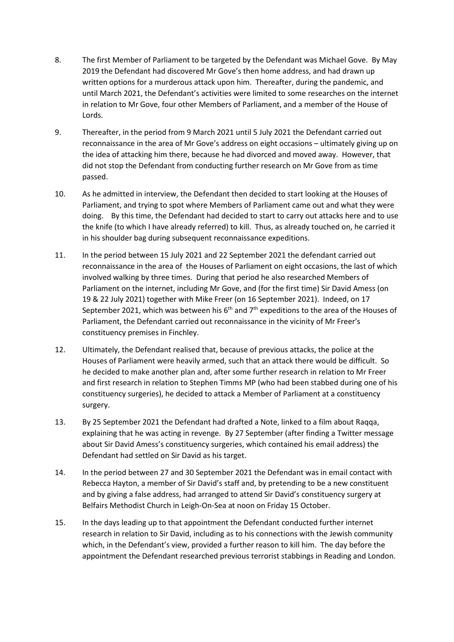- 8. The first Member of Parliament to be targeted by the Defendant was Michael Gove. By May 2019 the Defendant had discovered Mr Gove's then home address, and had drawn up written options for a murderous attack upon him. Thereafter, during the pandemic, and until March 2021, the Defendant's activities were limited to some researches on the internet in relation to Mr Gove, four other Members of Parliament, and a member of the House of Lords.
- 9. Thereafter, in the period from 9 March 2021 until 5 July 2021 the Defendant carried out reconnaissance in the area of Mr Gove's address on eight occasions – ultimately giving up on the idea of attacking him there, because he had divorced and moved away. However, that did not stop the Defendant from conducting further research on Mr Gove from as time passed.
- 10. As he admitted in interview, the Defendant then decided to start looking at the Houses of Parliament, and trying to spot where Members of Parliament came out and what they were doing. By this time, the Defendant had decided to start to carry out attacks here and to use the knife (to which I have already referred) to kill. Thus, as already touched on, he carried it in his shoulder bag during subsequent reconnaissance expeditions.
- 11. In the period between 15 July 2021 and 22 September 2021 the defendant carried out reconnaissance in the area of the Houses of Parliament on eight occasions, the last of which involved walking by three times. During that period he also researched Members of Parliament on the internet, including Mr Gove, and (for the first time) Sir David Amess (on 19 & 22 July 2021) together with Mike Freer (on 16 September 2021). Indeed, on 17 September 2021, which was between his  $6<sup>th</sup>$  and  $7<sup>th</sup>$  expeditions to the area of the Houses of Parliament, the Defendant carried out reconnaissance in the vicinity of Mr Freer's constituency premises in Finchley.
- 12. Ultimately, the Defendant realised that, because of previous attacks, the police at the Houses of Parliament were heavily armed, such that an attack there would be difficult. So he decided to make another plan and, after some further research in relation to Mr Freer and first research in relation to Stephen Timms MP (who had been stabbed during one of his constituency surgeries), he decided to attack a Member of Parliament at a constituency surgery.
- 13. By 25 September 2021 the Defendant had drafted a Note, linked to a film about Raqqa, explaining that he was acting in revenge. By 27 September (after finding a Twitter message about Sir David Amess's constituency surgeries, which contained his email address) the Defendant had settled on Sir David as his target.
- 14. In the period between 27 and 30 September 2021 the Defendant was in email contact with Rebecca Hayton, a member of Sir David's staff and, by pretending to be a new constituent and by giving a false address, had arranged to attend Sir David's constituency surgery at Belfairs Methodist Church in Leigh-On-Sea at noon on Friday 15 October.
- 15. In the days leading up to that appointment the Defendant conducted further internet research in relation to Sir David, including as to his connections with the Jewish community which, in the Defendant's view, provided a further reason to kill him. The day before the appointment the Defendant researched previous terrorist stabbings in Reading and London.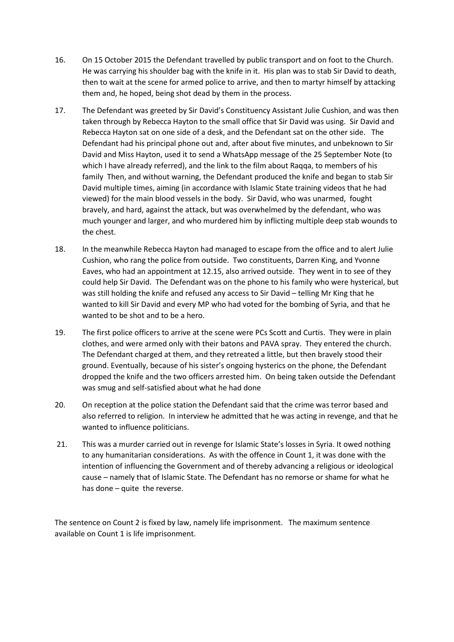- 16. On 15 October 2015 the Defendant travelled by public transport and on foot to the Church. He was carrying his shoulder bag with the knife in it. His plan was to stab Sir David to death, then to wait at the scene for armed police to arrive, and then to martyr himself by attacking them and, he hoped, being shot dead by them in the process.
- 17. The Defendant was greeted by Sir David's Constituency Assistant Julie Cushion, and was then taken through by Rebecca Hayton to the small office that Sir David was using. Sir David and Rebecca Hayton sat on one side of a desk, and the Defendant sat on the other side. The Defendant had his principal phone out and, after about five minutes, and unbeknown to Sir David and Miss Hayton, used it to send a WhatsApp message of the 25 September Note (to which I have already referred), and the link to the film about Raqqa, to members of his family Then, and without warning, the Defendant produced the knife and began to stab Sir David multiple times, aiming (in accordance with Islamic State training videos that he had viewed) for the main blood vessels in the body. Sir David, who was unarmed, fought bravely, and hard, against the attack, but was overwhelmed by the defendant, who was much younger and larger, and who murdered him by inflicting multiple deep stab wounds to the chest.
- 18. In the meanwhile Rebecca Hayton had managed to escape from the office and to alert Julie Cushion, who rang the police from outside. Two constituents, Darren King, and Yvonne Eaves, who had an appointment at 12.15, also arrived outside. They went in to see of they could help Sir David. The Defendant was on the phone to his family who were hysterical, but was still holding the knife and refused any access to Sir David – telling Mr King that he wanted to kill Sir David and every MP who had voted for the bombing of Syria, and that he wanted to be shot and to be a hero.
- 19. The first police officers to arrive at the scene were PCs Scott and Curtis. They were in plain clothes, and were armed only with their batons and PAVA spray. They entered the church. The Defendant charged at them, and they retreated a little, but then bravely stood their ground. Eventually, because of his sister's ongoing hysterics on the phone, the Defendant dropped the knife and the two officers arrested him. On being taken outside the Defendant was smug and self-satisfied about what he had done
- 20. On reception at the police station the Defendant said that the crime was terror based and also referred to religion. In interview he admitted that he was acting in revenge, and that he wanted to influence politicians.
- 21. This was a murder carried out in revenge for Islamic State's losses in Syria. It owed nothing to any humanitarian considerations. As with the offence in Count 1, it was done with the intention of influencing the Government and of thereby advancing a religious or ideological cause – namely that of Islamic State. The Defendant has no remorse or shame for what he has done – quite the reverse.

The sentence on Count 2 is fixed by law, namely life imprisonment. The maximum sentence available on Count 1 is life imprisonment.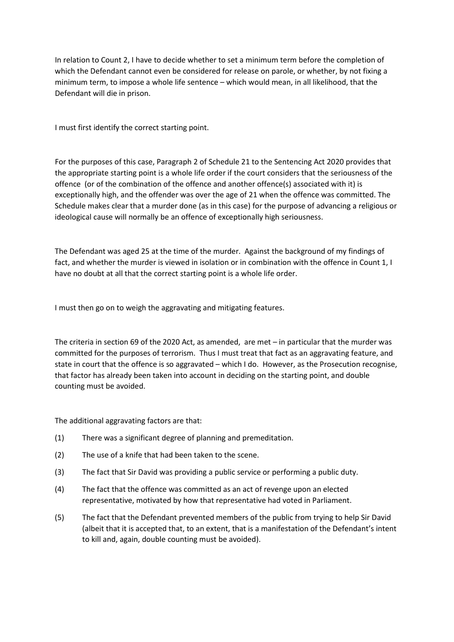In relation to Count 2, I have to decide whether to set a minimum term before the completion of which the Defendant cannot even be considered for release on parole, or whether, by not fixing a minimum term, to impose a whole life sentence – which would mean, in all likelihood, that the Defendant will die in prison.

I must first identify the correct starting point.

For the purposes of this case, Paragraph 2 of Schedule 21 to the Sentencing Act 2020 provides that the appropriate starting point is a whole life order if the court considers that the seriousness of the offence (or of the combination of the offence and another offence(s) associated with it) is exceptionally high, and the offender was over the age of 21 when the offence was committed. The Schedule makes clear that a murder done (as in this case) for the purpose of advancing a religious or ideological cause will normally be an offence of exceptionally high seriousness.

The Defendant was aged 25 at the time of the murder. Against the background of my findings of fact, and whether the murder is viewed in isolation or in combination with the offence in Count 1, I have no doubt at all that the correct starting point is a whole life order.

I must then go on to weigh the aggravating and mitigating features.

The criteria in section 69 of the 2020 Act, as amended, are met – in particular that the murder was committed for the purposes of terrorism. Thus I must treat that fact as an aggravating feature, and state in court that the offence is so aggravated – which I do. However, as the Prosecution recognise, that factor has already been taken into account in deciding on the starting point, and double counting must be avoided.

The additional aggravating factors are that:

- (1) There was a significant degree of planning and premeditation.
- (2) The use of a knife that had been taken to the scene.
- (3) The fact that Sir David was providing a public service or performing a public duty.
- (4) The fact that the offence was committed as an act of revenge upon an elected representative, motivated by how that representative had voted in Parliament.
- (5) The fact that the Defendant prevented members of the public from trying to help Sir David (albeit that it is accepted that, to an extent, that is a manifestation of the Defendant's intent to kill and, again, double counting must be avoided).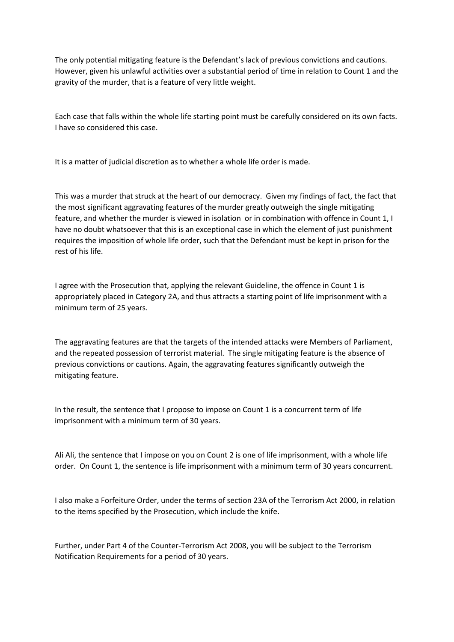The only potential mitigating feature is the Defendant's lack of previous convictions and cautions. However, given his unlawful activities over a substantial period of time in relation to Count 1 and the gravity of the murder, that is a feature of very little weight.

Each case that falls within the whole life starting point must be carefully considered on its own facts. I have so considered this case.

It is a matter of judicial discretion as to whether a whole life order is made.

This was a murder that struck at the heart of our democracy. Given my findings of fact, the fact that the most significant aggravating features of the murder greatly outweigh the single mitigating feature, and whether the murder is viewed in isolation or in combination with offence in Count 1, I have no doubt whatsoever that this is an exceptional case in which the element of just punishment requires the imposition of whole life order, such that the Defendant must be kept in prison for the rest of his life.

I agree with the Prosecution that, applying the relevant Guideline, the offence in Count 1 is appropriately placed in Category 2A, and thus attracts a starting point of life imprisonment with a minimum term of 25 years.

The aggravating features are that the targets of the intended attacks were Members of Parliament, and the repeated possession of terrorist material. The single mitigating feature is the absence of previous convictions or cautions. Again, the aggravating features significantly outweigh the mitigating feature.

In the result, the sentence that I propose to impose on Count 1 is a concurrent term of life imprisonment with a minimum term of 30 years.

Ali Ali, the sentence that I impose on you on Count 2 is one of life imprisonment, with a whole life order. On Count 1, the sentence is life imprisonment with a minimum term of 30 years concurrent.

I also make a Forfeiture Order, under the terms of section 23A of the Terrorism Act 2000, in relation to the items specified by the Prosecution, which include the knife.

Further, under Part 4 of the Counter-Terrorism Act 2008, you will be subject to the Terrorism Notification Requirements for a period of 30 years.